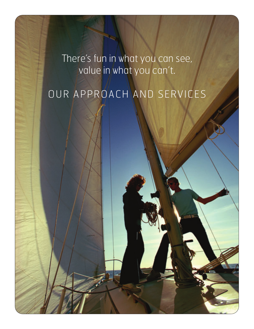There's fun in what you can see, value in what you can't.

# OUR APPROACH AND SERVICES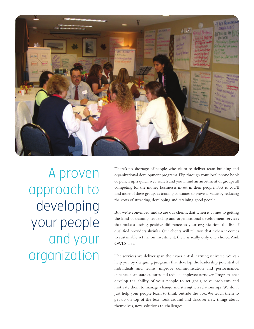

A proven approach to developing your people and your organization

There's no shortage of people who claim to deliver team-building and organizational development programs. Flip through your local phone book or punch up a quick web search and you'll find an assortment of groups all competing for the money businesses invest in their people. Fact is, you'll find more of these groups as training continues to prove its value by reducing the costs of attracting, developing and retaining good people.

But we're convinced, and so are our clients, that when it comes to getting the kind of training, leadership and organizational development services that make a lasting, positive difference to your organization, the list of qualified providers shrinks. Our clients will tell you that, when it comes to sustainable return on investment, there is really only one choice. And, OWLS is it.

The services we deliver span the experiential learning universe. We can help you by designing programs that develop the leadership potential of individuals and teams, improve communication and performance, enhance corporate cultures and reduce employee turnover. Programs that develop the ability of your people to set goals, solve problems and motivate them to manage change and strengthen relationships. We don't just help your people learn to think outside the box. We teach them to get up on top of the box, look around and discover new things about themselves, new solutions to challenges.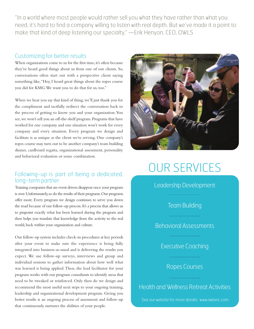"In a world where most people would rather sell you what they have rather than what you need, it's hard to find a company willing to listen with real depth. But we've made it a point to make that kind of deep listening our specialty." —Erik Henyon, CEO, OWLS

#### Customizing for better results

When organizations come to us for the first time, it's often because they've heard good things about us from one of our clients. So, conversations often start out with a prospective client saying something like, "Hey, I heard great things about the ropes course you did for KMG. We want you to do that for us, too."

When we hear you say that kind of thing, we'll just thank you for the compliment and tactfully redirect the conversation back to the process of getting to know you and your organization. You see, we won't sell you an off-the-shelf program. Programs that have worked for one company and one situation won't work for every company and every situation. Every program we design and facilitate is as unique as the client we're serving. One company's ropes course may turn out to be another company's team building dinner, cardboard regatta, organizational assessment, personality and behavioral evaluation or some combination.

### Following-up is part of being a dedicated, long-term partner

Training companies that are event driven disappear once your program is over. Unfortunately, so do the results of their programs. Our programs offer more. Every program we design continues to serve you down the road because of our follow-up process. It's a process that allows us to pinpoint exactly what has been learned during the program and then helps you translate that knowledge from the activity to the real world, back within your organization and culture.

Our follow-up system includes check-in procedures at key periods after your event to make sure the experience is being fully integrated into business-as-usual and is delivering the results you expect. We use follow-up surveys, interviews and group and individual sessions to gather information about how well what was learned is being applied. Then, the lead facilitator for your program works with our program consultants to identify areas that need to be tweaked or reinforced. Only then do we design and recommend the most useful next steps to your ongoing training, leadership and organizational development program. Giving you better results is an ongoing process of assessment and follow-up that continuously nurtures the abilities of your people.



## OUR SERVICES

Leadership Development

Team Building

Behavioral Assessments

Executive Coaching

## Ropes Courses

Health and Wellness Retreat Activities

See our website for more details: www.owlsinc.com